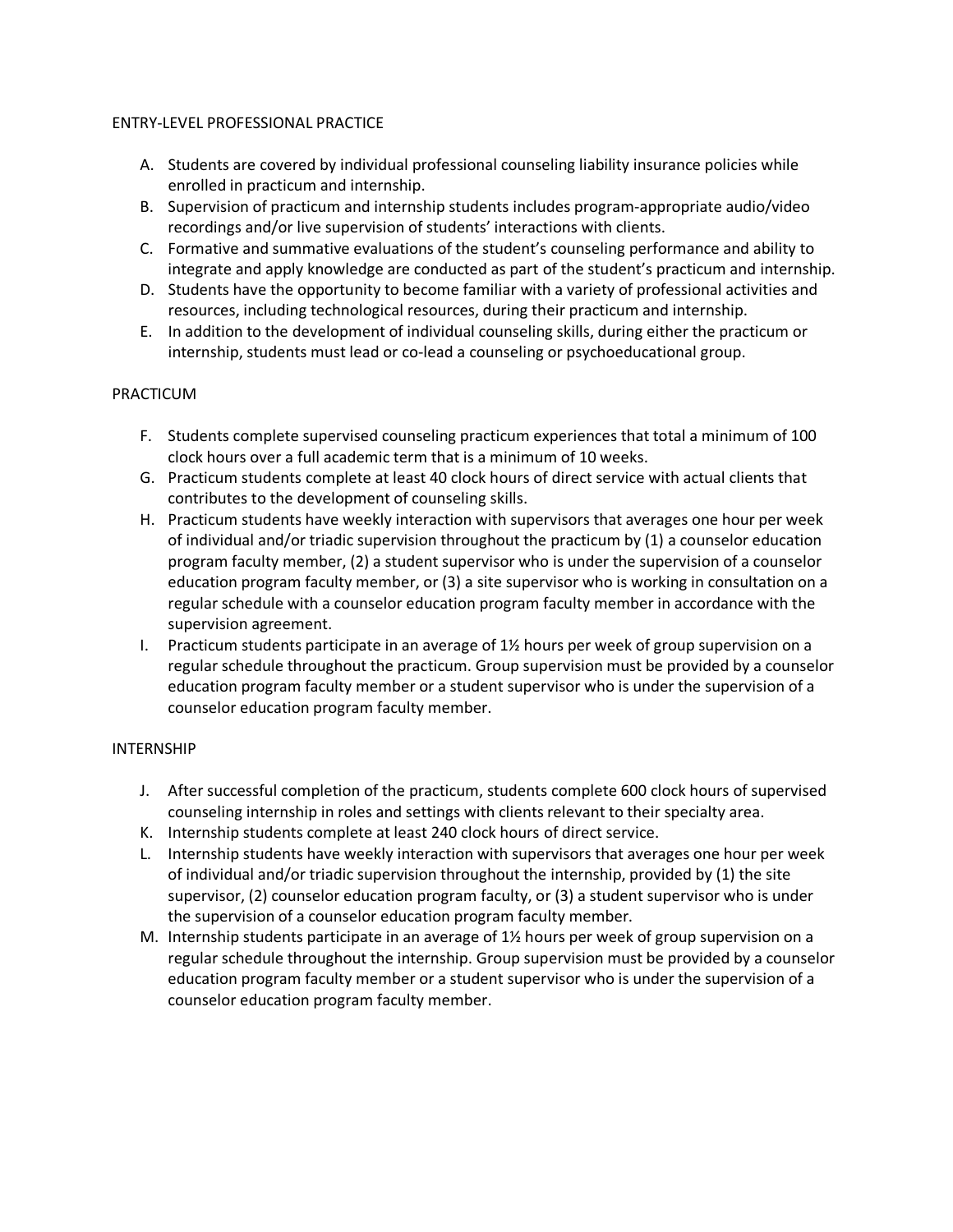## ENTRY-LEVEL PROFESSIONAL PRACTICE

- A. Students are covered by individual professional counseling liability insurance policies while enrolled in practicum and internship.
- B. Supervision of practicum and internship students includes program-appropriate audio/video recordings and/or live supervision of students' interactions with clients.
- C. Formative and summative evaluations of the student's counseling performance and ability to integrate and apply knowledge are conducted as part of the student's practicum and internship.
- D. Students have the opportunity to become familiar with a variety of professional activities and resources, including technological resources, during their practicum and internship.
- E. In addition to the development of individual counseling skills, during either the practicum or internship, students must lead or co-lead a counseling or psychoeducational group.

## PRACTICUM

- F. Students complete supervised counseling practicum experiences that total a minimum of 100 clock hours over a full academic term that is a minimum of 10 weeks.
- G. Practicum students complete at least 40 clock hours of direct service with actual clients that contributes to the development of counseling skills.
- H. Practicum students have weekly interaction with supervisors that averages one hour per week of individual and/or triadic supervision throughout the practicum by (1) a counselor education program faculty member, (2) a student supervisor who is under the supervision of a counselor education program faculty member, or (3) a site supervisor who is working in consultation on a regular schedule with a counselor education program faculty member in accordance with the supervision agreement.
- I. Practicum students participate in an average of  $1\frac{1}{2}$  hours per week of group supervision on a regular schedule throughout the practicum. Group supervision must be provided by a counselor education program faculty member or a student supervisor who is under the supervision of a counselor education program faculty member.

## INTERNSHIP

- J. After successful completion of the practicum, students complete 600 clock hours of supervised counseling internship in roles and settings with clients relevant to their specialty area.
- K. Internship students complete at least 240 clock hours of direct service.
- L. Internship students have weekly interaction with supervisors that averages one hour per week of individual and/or triadic supervision throughout the internship, provided by (1) the site supervisor, (2) counselor education program faculty, or (3) a student supervisor who is under the supervision of a counselor education program faculty member.
- M. Internship students participate in an average of 1½ hours per week of group supervision on a regular schedule throughout the internship. Group supervision must be provided by a counselor education program faculty member or a student supervisor who is under the supervision of a counselor education program faculty member.